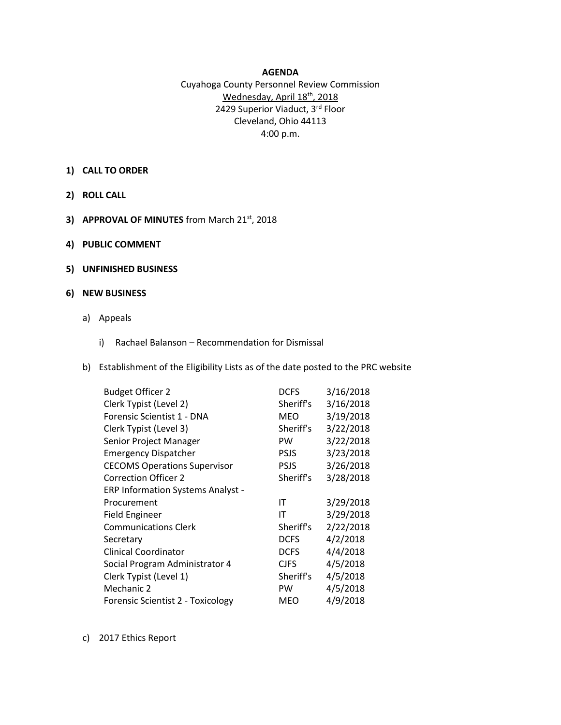## **AGENDA**

## Cuyahoga County Personnel Review Commission Wednesday, April 18<sup>th</sup>, 2018 2429 Superior Viaduct, 3rd Floor Cleveland, Ohio 44113 4:00 p.m.

- **1) CALL TO ORDER**
- **2) ROLL CALL**
- **3) APPROVAL OF MINUTES** from March 21st, 2018
- **4) PUBLIC COMMENT**
- **5) UNFINISHED BUSINESS**

## **6) NEW BUSINESS**

- a) Appeals
	- i) Rachael Balanson Recommendation for Dismissal
- b) Establishment of the Eligibility Lists as of the date posted to the PRC website

| <b>Budget Officer 2</b>                  | <b>DCFS</b> | 3/16/2018 |
|------------------------------------------|-------------|-----------|
| Clerk Typist (Level 2)                   | Sheriff's   | 3/16/2018 |
| Forensic Scientist 1 - DNA               | <b>MEO</b>  | 3/19/2018 |
| Clerk Typist (Level 3)                   | Sheriff's   | 3/22/2018 |
| Senior Project Manager                   | <b>PW</b>   | 3/22/2018 |
| <b>Emergency Dispatcher</b>              | <b>PSJS</b> | 3/23/2018 |
| <b>CECOMS Operations Supervisor</b>      | <b>PSJS</b> | 3/26/2018 |
| <b>Correction Officer 2</b>              | Sheriff's   | 3/28/2018 |
| <b>ERP Information Systems Analyst -</b> |             |           |
| Procurement                              | ΙT          | 3/29/2018 |
| <b>Field Engineer</b>                    | IT          | 3/29/2018 |
| <b>Communications Clerk</b>              | Sheriff's   | 2/22/2018 |
| Secretary                                | <b>DCFS</b> | 4/2/2018  |
| <b>Clinical Coordinator</b>              | <b>DCFS</b> | 4/4/2018  |
| Social Program Administrator 4           | <b>CJFS</b> | 4/5/2018  |
| Clerk Typist (Level 1)                   | Sheriff's   | 4/5/2018  |
| Mechanic 2                               | <b>PW</b>   | 4/5/2018  |
| Forensic Scientist 2 - Toxicology        | MEO         | 4/9/2018  |

c) 2017 Ethics Report